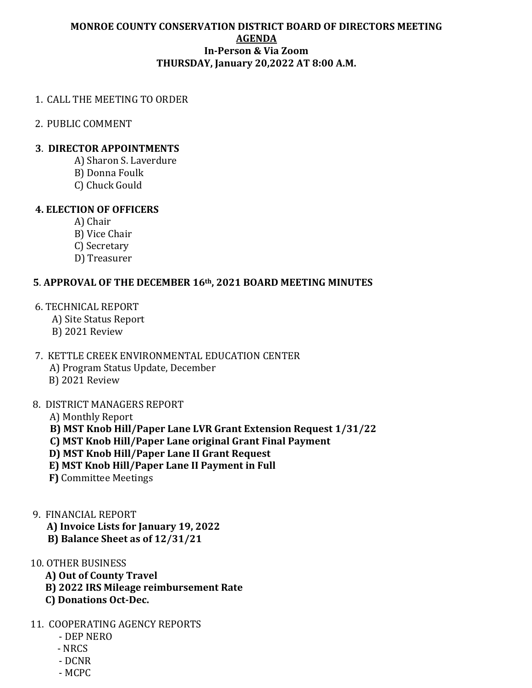#### **MONROE COUNTY CONSERVATION DISTRICT BOARD OF DIRECTORS MEETING AGENDA In-Person & Via Zoom THURSDAY, January 20,2022 AT 8:00 A.M.**

### 1. CALL THE MEETING TO ORDER

2. PUBLIC COMMENT

## **3**. **DIRECTOR APPOINTMENTS**

- A) Sharon S. Laverdure
- B) Donna Foulk
- C) Chuck Gould

### **4. ELECTION OF OFFICERS**

- A) Chair
- B) Vice Chair
- C) Secretary
- D) Treasurer

# **5**. **APPROVAL OF THE DECEMBER 16th, 2021 BOARD MEETING MINUTES**

- 6. TECHNICAL REPORT
	- A) Site Status Report
	- B) 2021 Review

# 7. KETTLE CREEK ENVIRONMENTAL EDUCATION CENTER

- A) Program Status Update, December
- B) 2021 Review

#### 8. DISTRICT MANAGERS REPORT

- A) Monthly Report
- **B) MST Knob Hill/Paper Lane LVR Grant Extension Request 1/31/22**
- **C) MST Knob Hill/Paper Lane original Grant Final Payment**
- **D) MST Knob Hill/Paper Lane II Grant Request**
- **E) MST Knob Hill/Paper Lane II Payment in Full**
- **F)** Committee Meetings
- 9. FINANCIAL REPORT
	- **A) Invoice Lists for January 19, 2022**
	- **B) Balance Sheet as of 12/31/21**

# 10. OTHER BUSINESS

- **A) Out of County Travel**
- **B) 2022 IRS Mileage reimbursement Rate**
- **C) Donations Oct-Dec.**

# 11. COOPERATING AGENCY REPORTS

- DEP NERO
- NRCS
- DCNR
- MCPC